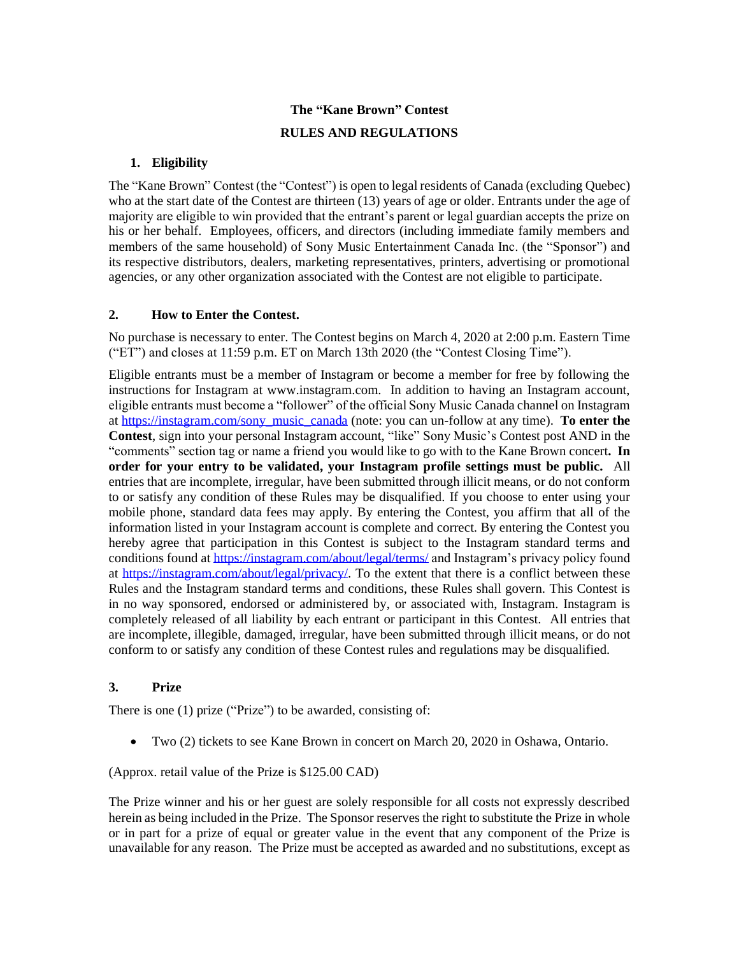# **The "Kane Brown" Contest RULES AND REGULATIONS**

# **1. Eligibility**

The "Kane Brown" Contest (the "Contest") is open to legal residents of Canada (excluding Quebec) who at the start date of the Contest are thirteen (13) years of age or older. Entrants under the age of majority are eligible to win provided that the entrant's parent or legal guardian accepts the prize on his or her behalf. Employees, officers, and directors (including immediate family members and members of the same household) of Sony Music Entertainment Canada Inc. (the "Sponsor") and its respective distributors, dealers, marketing representatives, printers, advertising or promotional agencies, or any other organization associated with the Contest are not eligible to participate.

## **2. How to Enter the Contest.**

No purchase is necessary to enter. The Contest begins on March 4, 2020 at 2:00 p.m. Eastern Time ("ET") and closes at 11:59 p.m. ET on March 13th 2020 (the "Contest Closing Time").

Eligible entrants must be a member of Instagram or become a member for free by following the instructions for Instagram at www.instagram.com. In addition to having an Instagram account, eligible entrants must become a "follower" of the official Sony Music Canada channel on Instagram at [https://instagram.com/sony\\_music\\_canada](https://instagram.com/sony_music_canada) (note: you can un-follow at any time). **To enter the Contest**, sign into your personal Instagram account, "like" Sony Music's Contest post AND in the "comments" section tag or name a friend you would like to go with to the Kane Brown concert**. In order for your entry to be validated, your Instagram profile settings must be public.** All entries that are incomplete, irregular, have been submitted through illicit means, or do not conform to or satisfy any condition of these Rules may be disqualified. If you choose to enter using your mobile phone, standard data fees may apply. By entering the Contest, you affirm that all of the information listed in your Instagram account is complete and correct. By entering the Contest you hereby agree that participation in this Contest is subject to the Instagram standard terms and conditions found at<https://instagram.com/about/legal/terms/> and Instagram's privacy policy found at [https://instagram.com/about/legal/privacy/.](https://instagram.com/about/legal/privacy/) To the extent that there is a conflict between these Rules and the Instagram standard terms and conditions, these Rules shall govern. This Contest is in no way sponsored, endorsed or administered by, or associated with, Instagram. Instagram is completely released of all liability by each entrant or participant in this Contest. All entries that are incomplete, illegible, damaged, irregular, have been submitted through illicit means, or do not conform to or satisfy any condition of these Contest rules and regulations may be disqualified.

## **3. Prize**

There is one (1) prize ("Prize") to be awarded, consisting of:

• Two (2) tickets to see Kane Brown in concert on March 20, 2020 in Oshawa, Ontario.

(Approx. retail value of the Prize is \$125.00 CAD)

The Prize winner and his or her guest are solely responsible for all costs not expressly described herein as being included in the Prize. The Sponsor reserves the right to substitute the Prize in whole or in part for a prize of equal or greater value in the event that any component of the Prize is unavailable for any reason. The Prize must be accepted as awarded and no substitutions, except as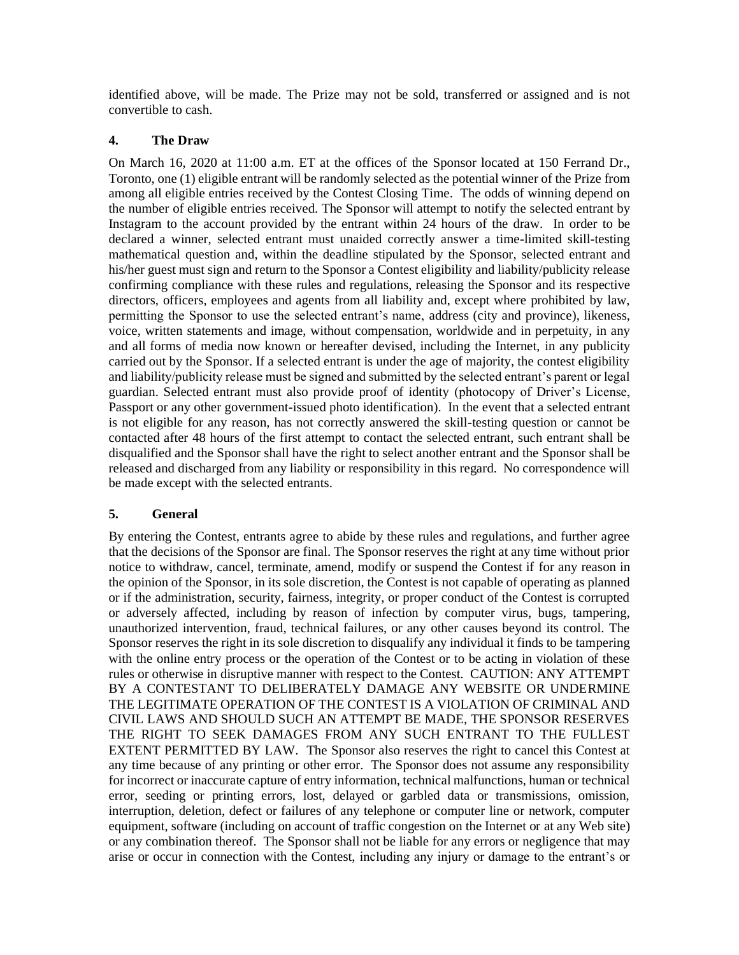identified above, will be made. The Prize may not be sold, transferred or assigned and is not convertible to cash.

#### **4. The Draw**

On March 16, 2020 at 11:00 a.m. ET at the offices of the Sponsor located at 150 Ferrand Dr., Toronto, one (1) eligible entrant will be randomly selected as the potential winner of the Prize from among all eligible entries received by the Contest Closing Time. The odds of winning depend on the number of eligible entries received. The Sponsor will attempt to notify the selected entrant by Instagram to the account provided by the entrant within 24 hours of the draw. In order to be declared a winner, selected entrant must unaided correctly answer a time-limited skill-testing mathematical question and, within the deadline stipulated by the Sponsor, selected entrant and his/her guest must sign and return to the Sponsor a Contest eligibility and liability/publicity release confirming compliance with these rules and regulations, releasing the Sponsor and its respective directors, officers, employees and agents from all liability and, except where prohibited by law, permitting the Sponsor to use the selected entrant's name, address (city and province), likeness, voice, written statements and image, without compensation, worldwide and in perpetuity, in any and all forms of media now known or hereafter devised, including the Internet, in any publicity carried out by the Sponsor. If a selected entrant is under the age of majority, the contest eligibility and liability/publicity release must be signed and submitted by the selected entrant's parent or legal guardian. Selected entrant must also provide proof of identity (photocopy of Driver's License, Passport or any other government-issued photo identification). In the event that a selected entrant is not eligible for any reason, has not correctly answered the skill-testing question or cannot be contacted after 48 hours of the first attempt to contact the selected entrant, such entrant shall be disqualified and the Sponsor shall have the right to select another entrant and the Sponsor shall be released and discharged from any liability or responsibility in this regard. No correspondence will be made except with the selected entrants.

#### **5. General**

By entering the Contest, entrants agree to abide by these rules and regulations, and further agree that the decisions of the Sponsor are final. The Sponsor reserves the right at any time without prior notice to withdraw, cancel, terminate, amend, modify or suspend the Contest if for any reason in the opinion of the Sponsor, in its sole discretion, the Contest is not capable of operating as planned or if the administration, security, fairness, integrity, or proper conduct of the Contest is corrupted or adversely affected, including by reason of infection by computer virus, bugs, tampering, unauthorized intervention, fraud, technical failures, or any other causes beyond its control. The Sponsor reserves the right in its sole discretion to disqualify any individual it finds to be tampering with the online entry process or the operation of the Contest or to be acting in violation of these rules or otherwise in disruptive manner with respect to the Contest. CAUTION: ANY ATTEMPT BY A CONTESTANT TO DELIBERATELY DAMAGE ANY WEBSITE OR UNDERMINE THE LEGITIMATE OPERATION OF THE CONTEST IS A VIOLATION OF CRIMINAL AND CIVIL LAWS AND SHOULD SUCH AN ATTEMPT BE MADE, THE SPONSOR RESERVES THE RIGHT TO SEEK DAMAGES FROM ANY SUCH ENTRANT TO THE FULLEST EXTENT PERMITTED BY LAW.The Sponsor also reserves the right to cancel this Contest at any time because of any printing or other error. The Sponsor does not assume any responsibility for incorrect or inaccurate capture of entry information, technical malfunctions, human or technical error, seeding or printing errors, lost, delayed or garbled data or transmissions, omission, interruption, deletion, defect or failures of any telephone or computer line or network, computer equipment, software (including on account of traffic congestion on the Internet or at any Web site) or any combination thereof. The Sponsor shall not be liable for any errors or negligence that may arise or occur in connection with the Contest, including any injury or damage to the entrant's or